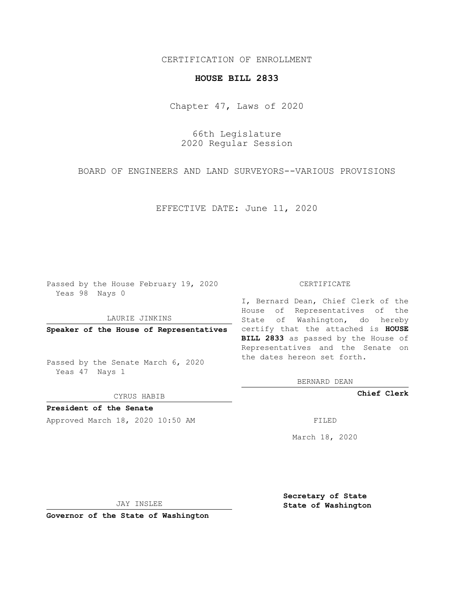## CERTIFICATION OF ENROLLMENT

## **HOUSE BILL 2833**

Chapter 47, Laws of 2020

66th Legislature 2020 Regular Session

BOARD OF ENGINEERS AND LAND SURVEYORS--VARIOUS PROVISIONS

EFFECTIVE DATE: June 11, 2020

Passed by the House February 19, 2020 Yeas 98 Nays 0

LAURIE JINKINS

Passed by the Senate March 6, 2020 Yeas 47 Nays 1

CYRUS HABIB

**President of the Senate**

Approved March 18, 2020 10:50 AM FILED

## CERTIFICATE

**Speaker of the House of Representatives** certify that the attached is **HOUSE** I, Bernard Dean, Chief Clerk of the House of Representatives of the State of Washington, do hereby **BILL 2833** as passed by the House of Representatives and the Senate on the dates hereon set forth.

BERNARD DEAN

**Chief Clerk**

March 18, 2020

JAY INSLEE

**Governor of the State of Washington**

**Secretary of State State of Washington**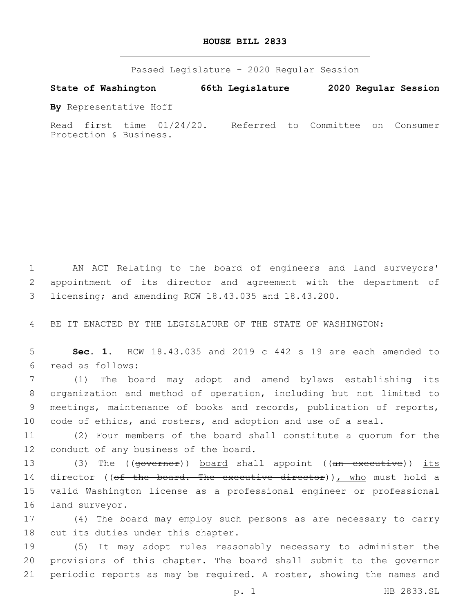Passed Legislature - 2020 Regular Session

**State of Washington 66th Legislature 2020 Regular Session**

**By** Representative Hoff

Read first time 01/24/20. Referred to Committee on Consumer Protection & Business.

1 AN ACT Relating to the board of engineers and land surveyors' 2 appointment of its director and agreement with the department of 3 licensing; and amending RCW 18.43.035 and 18.43.200.

4 BE IT ENACTED BY THE LEGISLATURE OF THE STATE OF WASHINGTON:

5 **Sec. 1.** RCW 18.43.035 and 2019 c 442 s 19 are each amended to read as follows:6

 (1) The board may adopt and amend bylaws establishing its organization and method of operation, including but not limited to meetings, maintenance of books and records, publication of reports, 10 code of ethics, and rosters, and adoption and use of a seal.

11 (2) Four members of the board shall constitute a quorum for the 12 conduct of any business of the board.

13 (3) The ((governor)) board shall appoint ((an executive)) its 14 director ((of the board. The executive director)), who must hold a 15 valid Washington license as a professional engineer or professional 16 land surveyor.

17 (4) The board may employ such persons as are necessary to carry 18 out its duties under this chapter.

19 (5) It may adopt rules reasonably necessary to administer the 20 provisions of this chapter. The board shall submit to the governor 21 periodic reports as may be required. A roster, showing the names and